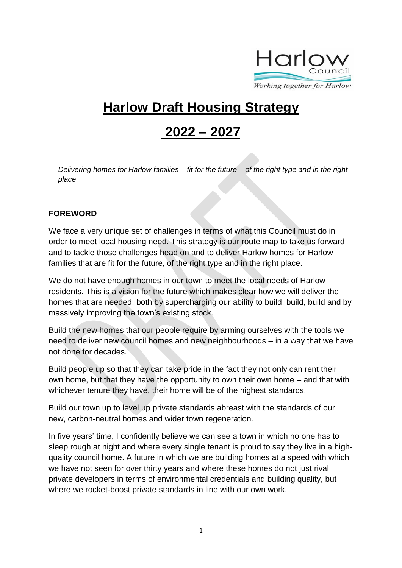

# **Harlow Draft Housing Strategy**

# **2022 – 2027**

*Delivering homes for Harlow families – fit for the future – of the right type and in the right place* 

#### **FOREWORD**

We face a very unique set of challenges in terms of what this Council must do in order to meet local housing need. This strategy is our route map to take us forward and to tackle those challenges head on and to deliver Harlow homes for Harlow families that are fit for the future, of the right type and in the right place.

We do not have enough homes in our town to meet the local needs of Harlow residents. This is a vision for the future which makes clear how we will deliver the homes that are needed, both by supercharging our ability to build, build, build and by massively improving the town's existing stock.

Build the new homes that our people require by arming ourselves with the tools we need to deliver new council homes and new neighbourhoods – in a way that we have not done for decades.

Build people up so that they can take pride in the fact they not only can rent their own home, but that they have the opportunity to own their own home – and that with whichever tenure they have, their home will be of the highest standards.

Build our town up to level up private standards abreast with the standards of our new, carbon-neutral homes and wider town regeneration.

In five years' time, I confidently believe we can see a town in which no one has to sleep rough at night and where every single tenant is proud to say they live in a highquality council home. A future in which we are building homes at a speed with which we have not seen for over thirty years and where these homes do not just rival private developers in terms of environmental credentials and building quality, but where we rocket-boost private standards in line with our own work.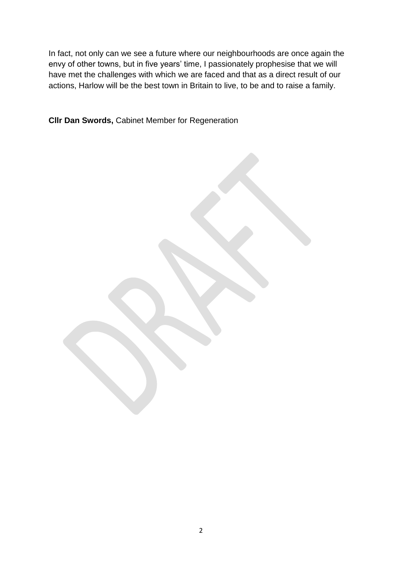In fact, not only can we see a future where our neighbourhoods are once again the envy of other towns, but in five years' time, I passionately prophesise that we will have met the challenges with which we are faced and that as a direct result of our actions, Harlow will be the best town in Britain to live, to be and to raise a family.

**Cllr Dan Swords,** Cabinet Member for Regeneration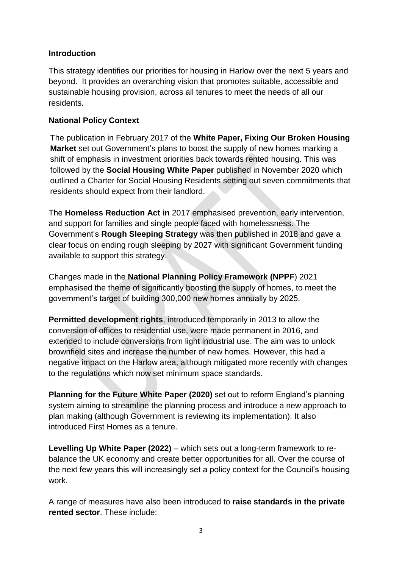#### **Introduction**

This strategy identifies our priorities for housing in Harlow over the next 5 years and beyond. It provides an overarching vision that promotes suitable, accessible and sustainable housing provision, across all tenures to meet the needs of all our residents.

#### **National Policy Context**

The publication in February 2017 of the **White Paper, Fixing Our Broken Housing Market** set out Government's plans to boost the supply of new homes marking a shift of emphasis in investment priorities back towards rented housing. This was followed by the **Social Housing White Paper** published in November 2020 which outlined a Charter for Social Housing Residents setting out seven commitments that residents should expect from their landlord.

The **Homeless Reduction Act in** 2017 emphasised prevention, early intervention, and support for families and single people faced with homelessness. The Government's **Rough Sleeping Strategy** was then published in 2018 and gave a clear focus on ending rough sleeping by 2027 with significant Government funding available to support this strategy.

Changes made in the **National Planning Policy Framework (NPPF**) 2021 emphasised the theme of significantly boosting the supply of homes, to meet the government's target of building 300,000 new homes annually by 2025.

**Permitted development rights**, introduced temporarily in 2013 to allow the conversion of offices to residential use, were made permanent in 2016, and extended to include conversions from light industrial use. The aim was to unlock brownfield sites and increase the number of new homes. However, this had a negative impact on the Harlow area, although mitigated more recently with changes to the regulations which now set minimum space standards.

**Planning for the Future White Paper (2020)** set out to reform England's planning system aiming to streamline the planning process and introduce a new approach to plan making (although Government is reviewing its implementation). It also introduced First Homes as a tenure.

**Levelling Up White Paper (2022)** – which sets out a long-term framework to rebalance the UK economy and create better opportunities for all. Over the course of the next few years this will increasingly set a policy context for the Council's housing work.

A range of measures have also been introduced to **raise standards in the private rented sector**. These include: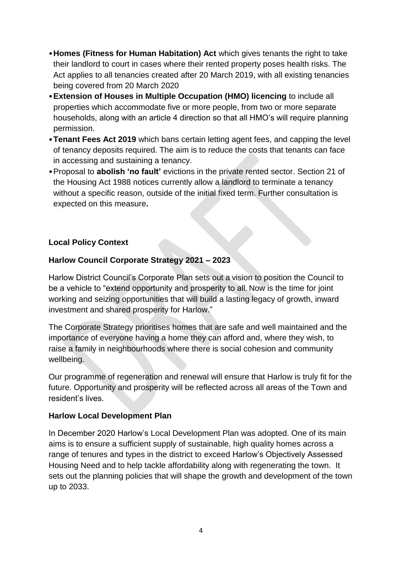- •**Homes (Fitness for Human Habitation) Act** which gives tenants the right to take their landlord to court in cases where their rented property poses health risks. The Act applies to all tenancies created after 20 March 2019, with all existing tenancies being covered from 20 March 2020
- •**Extension of Houses in Multiple Occupation (HMO) licencing** to include all properties which accommodate five or more people, from two or more separate households, along with an article 4 direction so that all HMO's will require planning permission.
- •**Tenant Fees Act 2019** which bans certain letting agent fees, and capping the level of tenancy deposits required. The aim is to reduce the costs that tenants can face in accessing and sustaining a tenancy.
- •Proposal to **abolish 'no fault'** evictions in the private rented sector. Section 21 of the Housing Act 1988 notices currently allow a landlord to terminate a tenancy without a specific reason, outside of the initial fixed term. Further consultation is expected on this measure**.**

# **Local Policy Context**

# **Harlow Council Corporate Strategy 2021 – 2023**

Harlow District Council's Corporate Plan sets out a vision to position the Council to be a vehicle to "extend opportunity and prosperity to all. Now is the time for joint working and seizing opportunities that will build a lasting legacy of growth, inward investment and shared prosperity for Harlow."

The Corporate Strategy prioritises homes that are safe and well maintained and the importance of everyone having a home they can afford and, where they wish, to raise a family in neighbourhoods where there is social cohesion and community wellbeing.

Our programme of regeneration and renewal will ensure that Harlow is truly fit for the future. Opportunity and prosperity will be reflected across all areas of the Town and resident's lives.

#### **Harlow Local Development Plan**

In December 2020 Harlow's Local Development Plan was adopted. One of its main aims is to ensure a sufficient supply of sustainable, high quality homes across a range of tenures and types in the district to exceed Harlow's Objectively Assessed Housing Need and to help tackle affordability along with regenerating the town. It sets out the planning policies that will shape the growth and development of the town up to 2033.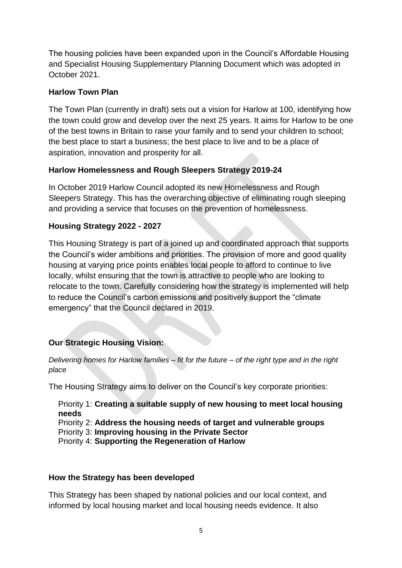The housing policies have been expanded upon in the Council's Affordable Housing and Specialist Housing Supplementary Planning Document which was adopted in October 2021.

#### **Harlow Town Plan**

The Town Plan (currently in draft) sets out a vision for Harlow at 100, identifying how the town could grow and develop over the next 25 years. It aims for Harlow to be one of the best towns in Britain to raise your family and to send your children to school; the best place to start a business; the best place to live and to be a place of aspiration, innovation and prosperity for all.

# **Harlow Homelessness and Rough Sleepers Strategy 2019-24**

In October 2019 Harlow Council adopted its new Homelessness and Rough Sleepers Strategy. This has the overarching objective of eliminating rough sleeping and providing a service that focuses on the prevention of homelessness.

# **Housing Strategy 2022 - 2027**

This Housing Strategy is part of a joined up and coordinated approach that supports the Council's wider ambitions and priorities. The provision of more and good quality housing at varying price points enables local people to afford to continue to live locally, whilst ensuring that the town is attractive to people who are looking to relocate to the town. Carefully considering how the strategy is implemented will help to reduce the Council's carbon emissions and positively support the "climate emergency" that the Council declared in 2019.

# **Our Strategic Housing Vision:**

*Delivering homes for Harlow families – fit for the future – of the right type and in the right place* 

The Housing Strategy aims to deliver on the Council's key corporate priorities:

Priority 1: **Creating a suitable supply of new housing to meet local housing needs** Priority 2: **Address the housing needs of target and vulnerable groups**

Priority 3: **Improving housing in the Private Sector**

Priority 4: **Supporting the Regeneration of Harlow**

#### **How the Strategy has been developed**

This Strategy has been shaped by national policies and our local context, and informed by local housing market and local housing needs evidence. It also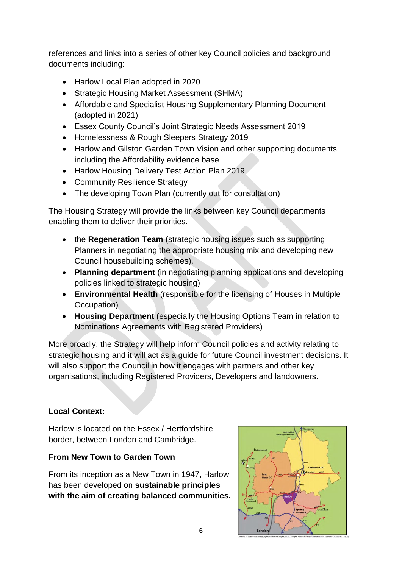references and links into a series of other key Council policies and background documents including:

- Harlow Local Plan adopted in 2020
- Strategic Housing Market Assessment (SHMA)
- Affordable and Specialist Housing Supplementary Planning Document (adopted in 2021)
- Essex County Council's Joint Strategic Needs Assessment 2019
- Homelessness & Rough Sleepers Strategy 2019
- Harlow and Gilston Garden Town Vision and other supporting documents including the Affordability evidence base
- Harlow Housing Delivery Test Action Plan 2019
- Community Resilience Strategy
- The developing Town Plan (currently out for consultation)

The Housing Strategy will provide the links between key Council departments enabling them to deliver their priorities.

- the **Regeneration Team** (strategic housing issues such as supporting Planners in negotiating the appropriate housing mix and developing new Council housebuilding schemes),
- **Planning department** (in negotiating planning applications and developing policies linked to strategic housing)
- **Environmental Health** (responsible for the licensing of Houses in Multiple Occupation)
- **Housing Department** (especially the Housing Options Team in relation to Nominations Agreements with Registered Providers)

More broadly, the Strategy will help inform Council policies and activity relating to strategic housing and it will act as a guide for future Council investment decisions. It will also support the Council in how it engages with partners and other key organisations, including Registered Providers, Developers and landowners.

#### **Local Context:**

Harlow is located on the Essex / Hertfordshire border, between London and Cambridge.

#### **From New Town to Garden Town**

From its inception as a New Town in 1947, Harlow has been developed on **sustainable principles with the aim of creating balanced communities.** 

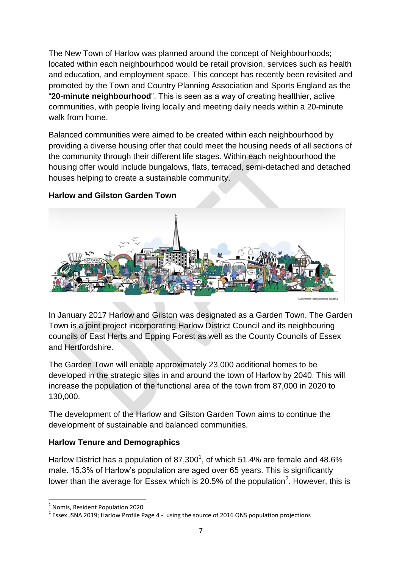The New Town of Harlow was planned around the concept of Neighbourhoods; located within each neighbourhood would be retail provision, services such as health and education, and employment space. This concept has recently been revisited and promoted by the Town and Country Planning Association and Sports England as the "**20-minute neighbourhood**". This is seen as a way of creating healthier, active communities, with people living locally and meeting daily needs within a 20-minute walk from home.

Balanced communities were aimed to be created within each neighbourhood by providing a diverse housing offer that could meet the housing needs of all sections of the community through their different life stages. Within each neighbourhood the housing offer would include bungalows, flats, terraced, semi-detached and detached houses helping to create a sustainable community.



# **Harlow and Gilston Garden Town**

In January 2017 Harlow and Gilston was designated as a Garden Town. The Garden Town is a joint project incorporating Harlow District Council and its neighbouring councils of East Herts and Epping Forest as well as the County Councils of Essex and Hertfordshire.

The Garden Town will enable approximately 23,000 additional homes to be developed in the strategic sites in and around the town of Harlow by 2040. This will increase the population of the functional area of the town from 87,000 in 2020 to 130,000.

The development of the Harlow and Gilston Garden Town aims to continue the development of sustainable and balanced communities.

#### **Harlow Tenure and Demographics**

Harlow District has a population of 87,300<sup>1</sup>, of which 51.4% are female and 48.6% male. 15.3% of Harlow's population are aged over 65 years. This is significantly lower than the average for Essex which is 20.5% of the population<sup>2</sup>. However, this is

**.** 

<sup>1</sup> Nomis, Resident Population 2020

 $2$  Essex JSNA 2019; Harlow Profile Page 4 - using the source of 2016 ONS population projections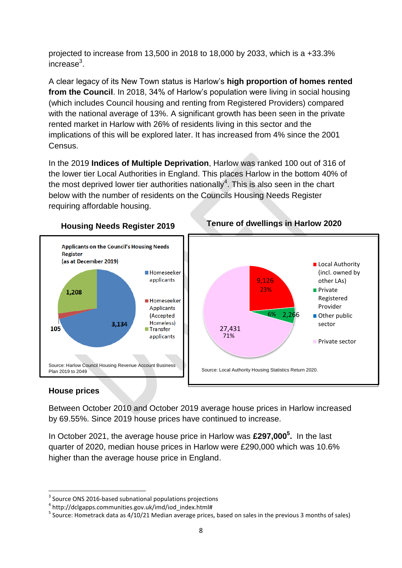projected to increase from 13,500 in 2018 to 18,000 by 2033, which is a +33.3% increase $3$ .

A clear legacy of its New Town status is Harlow's **high proportion of homes rented from the Council**. In 2018, 34% of Harlow's population were living in social housing (which includes Council housing and renting from Registered Providers) compared with the national average of 13%. A significant growth has been seen in the private rented market in Harlow with 26% of residents living in this sector and the implications of this will be explored later. It has increased from 4% since the 2001 Census.

In the 2019 **Indices of Multiple Deprivation**, Harlow was ranked 100 out of 316 of the lower tier Local Authorities in England. This places Harlow in the bottom 40% of the most deprived lower tier authorities nationally<sup>4</sup>. This is also seen in the chart below with the number of residents on the Councils Housing Needs Register requiring affordable housing.



# **Housing Needs Register 2019 Tenure of dwellings in Harlow 2020**

#### **House prices**

**.** 

Between October 2010 and October 2019 average house prices in Harlow increased by 69.55%. Since 2019 house prices have continued to increase.

In October 2021, the average house price in Harlow was **£297,000<sup>5</sup> .** In the last quarter of 2020, median house prices in Harlow were £290,000 which was 10.6% higher than the average house price in England.

<sup>&</sup>lt;sup>3</sup> Source ONS 2016-based subnational populations projections

<sup>&</sup>lt;sup>4</sup> http://dclgapps.communities.gov.uk/imd/iod\_index.html#

<sup>&</sup>lt;sup>5</sup> Source: Hometrack data as 4/10/21 Median average prices, based on sales in the previous 3 months of sales)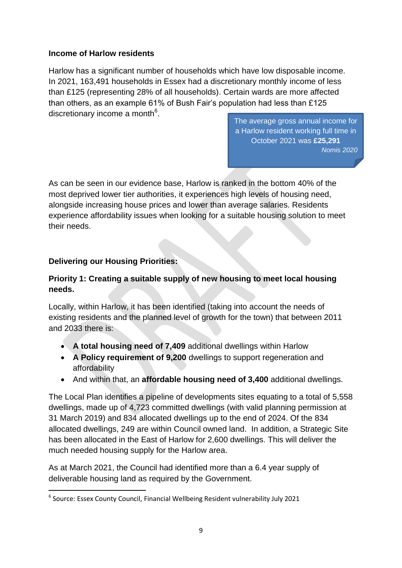#### **Income of Harlow residents**

Harlow has a significant number of households which have low disposable income. In 2021, 163,491 households in Essex had a discretionary monthly income of less than £125 (representing 28% of all households). Certain wards are more affected than others, as an example 61% of Bush Fair's population had less than £125 discretionary income a month<sup>6</sup>.

The average gross annual income for a Harlow resident working full time in October 2021 was **£25,291** *Nomis 2020*

As can be seen in our evidence base, Harlow is ranked in the bottom 40% of the most deprived lower tier authorities, it experiences high levels of housing need, alongside increasing house prices and lower than average salaries. Residents experience affordability issues when looking for a suitable housing solution to meet their needs.

#### **Delivering our Housing Priorities:**

**.** 

# **Priority 1: Creating a suitable supply of new housing to meet local housing needs.**

Locally, within Harlow, it has been identified (taking into account the needs of existing residents and the planned level of growth for the town) that between 2011 and 2033 there is:

- **A total housing need of 7,409** additional dwellings within Harlow
- **A Policy requirement of 9,200** dwellings to support regeneration and affordability
- And within that, an **affordable housing need of 3,400** additional dwellings.

The Local Plan identifies a pipeline of developments sites equating to a total of 5,558 dwellings, made up of 4,723 committed dwellings (with valid planning permission at 31 March 2019) and 834 allocated dwellings up to the end of 2024. Of the 834 allocated dwellings, 249 are within Council owned land. In addition, a Strategic Site has been allocated in the East of Harlow for 2,600 dwellings. This will deliver the much needed housing supply for the Harlow area.

As at March 2021, the Council had identified more than a 6.4 year supply of deliverable housing land as required by the Government.

<sup>&</sup>lt;sup>6</sup> Source: Essex County Council, Financial Wellbeing Resident vulnerability July 2021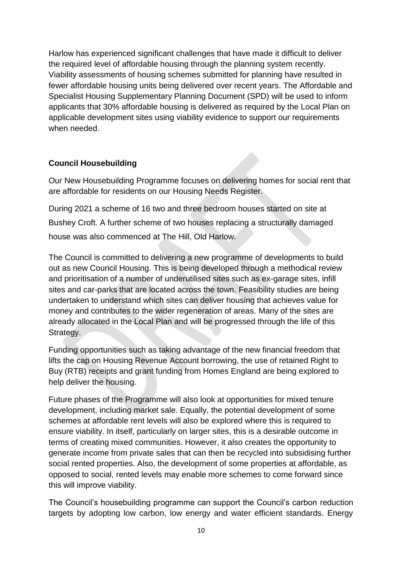Harlow has experienced significant challenges that have made it difficult to deliver the required level of affordable housing through the planning system recently. Viability assessments of housing schemes submitted for planning have resulted in fewer affordable housing units being delivered over recent years. The Affordable and Specialist Housing Supplementary Planning Document (SPD) will be used to inform applicants that 30% affordable housing is delivered as required by the Local Plan on applicable development sites using viability evidence to support our requirements when needed.

# **Council Housebuilding**

Our New Housebuilding Programme focuses on delivering homes for social rent that are affordable for residents on our Housing Needs Register.

During 2021 a scheme of 16 two and three bedroom houses started on site at Bushey Croft. A further scheme of two houses replacing a structurally damaged house was also commenced at The Hill, Old Harlow.

The Council is committed to delivering a new programme of developments to build out as new Council Housing. This is being developed through a methodical review and prioritisation of a number of underutilised sites such as ex-garage sites, infill sites and car-parks that are located across the town. Feasibility studies are being undertaken to understand which sites can deliver housing that achieves value for money and contributes to the wider regeneration of areas. Many of the sites are already allocated in the Local Plan and will be progressed through the life of this Strategy.

Funding opportunities such as taking advantage of the new financial freedom that lifts the cap on Housing Revenue Account borrowing, the use of retained Right to Buy (RTB) receipts and grant funding from Homes England are being explored to help deliver the housing.

Future phases of the Programme will also look at opportunities for mixed tenure development, including market sale. Equally, the potential development of some schemes at affordable rent levels will also be explored where this is required to ensure viability. In itself, particularly on larger sites, this is a desirable outcome in terms of creating mixed communities. However, it also creates the opportunity to generate income from private sales that can then be recycled into subsidising further social rented properties. Also, the development of some properties at affordable, as opposed to social, rented levels may enable more schemes to come forward since this will improve viability.

The Council's housebuilding programme can support the Council's carbon reduction targets by adopting low carbon, low energy and water efficient standards. Energy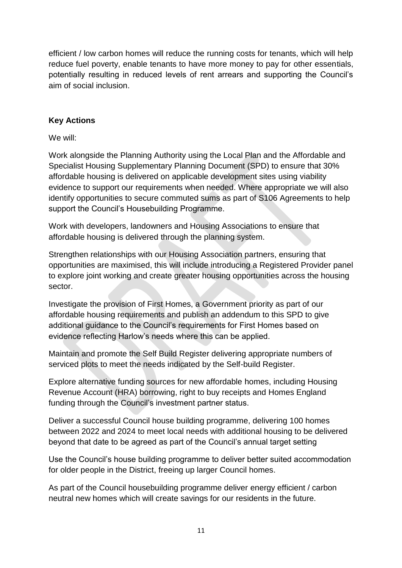efficient / low carbon homes will reduce the running costs for tenants, which will help reduce fuel poverty, enable tenants to have more money to pay for other essentials, potentially resulting in reduced levels of rent arrears and supporting the Council's aim of social inclusion.

# **Key Actions**

We will:

Work alongside the Planning Authority using the Local Plan and the Affordable and Specialist Housing Supplementary Planning Document (SPD) to ensure that 30% affordable housing is delivered on applicable development sites using viability evidence to support our requirements when needed. Where appropriate we will also identify opportunities to secure commuted sums as part of S106 Agreements to help support the Council's Housebuilding Programme.

Work with developers, landowners and Housing Associations to ensure that affordable housing is delivered through the planning system.

Strengthen relationships with our Housing Association partners, ensuring that opportunities are maximised, this will include introducing a Registered Provider panel to explore joint working and create greater housing opportunities across the housing sector.

Investigate the provision of First Homes, a Government priority as part of our affordable housing requirements and publish an addendum to this SPD to give additional guidance to the Council's requirements for First Homes based on evidence reflecting Harlow's needs where this can be applied.

Maintain and promote the Self Build Register delivering appropriate numbers of serviced plots to meet the needs indicated by the Self-build Register.

Explore alternative funding sources for new affordable homes, including Housing Revenue Account (HRA) borrowing, right to buy receipts and Homes England funding through the Council's investment partner status.

Deliver a successful Council house building programme, delivering 100 homes between 2022 and 2024 to meet local needs with additional housing to be delivered beyond that date to be agreed as part of the Council's annual target setting

Use the Council's house building programme to deliver better suited accommodation for older people in the District, freeing up larger Council homes.

As part of the Council housebuilding programme deliver energy efficient / carbon neutral new homes which will create savings for our residents in the future.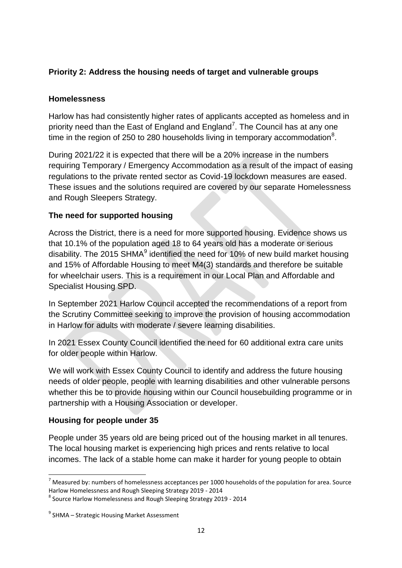# **Priority 2: Address the housing needs of target and vulnerable groups**

#### **Homelessness**

Harlow has had consistently higher rates of applicants accepted as homeless and in priority need than the East of England and England<sup>7</sup>. The Council has at any one time in the region of 250 to 280 households living in temporary accommodation $8$ .

During 2021/22 it is expected that there will be a 20% increase in the numbers requiring Temporary / Emergency Accommodation as a result of the impact of easing regulations to the private rented sector as Covid-19 lockdown measures are eased. These issues and the solutions required are covered by our separate Homelessness and Rough Sleepers Strategy.

#### **The need for supported housing**

Across the District, there is a need for more supported housing. Evidence shows us that 10.1% of the population aged 18 to 64 years old has a moderate or serious disability. The 2015 SHMA $^9$  identified the need for 10% of new build market housing and 15% of Affordable Housing to meet M4(3) standards and therefore be suitable for wheelchair users. This is a requirement in our Local Plan and Affordable and Specialist Housing SPD.

In September 2021 Harlow Council accepted the recommendations of a report from the Scrutiny Committee seeking to improve the provision of housing accommodation in Harlow for adults with moderate / severe learning disabilities.

In 2021 Essex County Council identified the need for 60 additional extra care units for older people within Harlow.

We will work with Essex County Council to identify and address the future housing needs of older people, people with learning disabilities and other vulnerable persons whether this be to provide housing within our Council housebuilding programme or in partnership with a Housing Association or developer.

#### **Housing for people under 35**

People under 35 years old are being priced out of the housing market in all tenures. The local housing market is experiencing high prices and rents relative to local incomes. The lack of a stable home can make it harder for young people to obtain

 $\overline{a}$  $<sup>7</sup>$  Measured by: numbers of homelessness acceptances per 1000 households of the population for area. Source</sup> Harlow Homelessness and Rough Sleeping Strategy 2019 - 2014

<sup>8</sup> Source Harlow Homelessness and Rough Sleeping Strategy 2019 - 2014

<sup>&</sup>lt;sup>9</sup> SHMA – Strategic Housing Market Assessment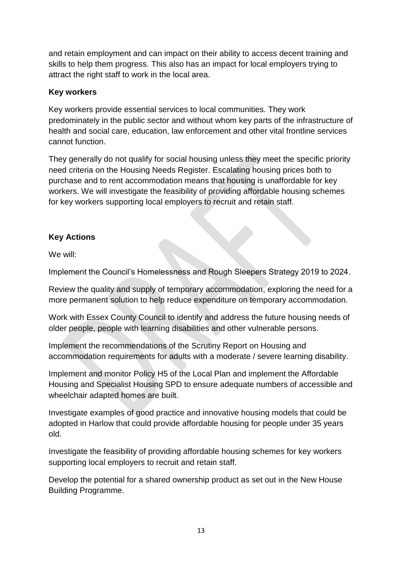and retain employment and can impact on their ability to access decent training and skills to help them progress. This also has an impact for local employers trying to attract the right staff to work in the local area.

#### **Key workers**

Key workers provide essential services to local communities. They work predominately in the public sector and without whom key parts of the infrastructure of health and social care, education, law enforcement and other vital frontline services cannot function.

They generally do not qualify for social housing unless they meet the specific priority need criteria on the Housing Needs Register. Escalating housing prices both to purchase and to rent accommodation means that housing is unaffordable for key workers. We will investigate the feasibility of providing affordable housing schemes for key workers supporting local employers to recruit and retain staff.

# **Key Actions**

We will:

Implement the Council's Homelessness and Rough Sleepers Strategy 2019 to 2024.

Review the quality and supply of temporary accommodation, exploring the need for a more permanent solution to help reduce expenditure on temporary accommodation.

Work with Essex County Council to identify and address the future housing needs of older people, people with learning disabilities and other vulnerable persons.

Implement the recommendations of the Scrutiny Report on Housing and accommodation requirements for adults with a moderate / severe learning disability.

Implement and monitor Policy H5 of the Local Plan and implement the Affordable Housing and Specialist Housing SPD to ensure adequate numbers of accessible and wheelchair adapted homes are built.

Investigate examples of good practice and innovative housing models that could be adopted in Harlow that could provide affordable housing for people under 35 years old.

Investigate the feasibility of providing affordable housing schemes for key workers supporting local employers to recruit and retain staff.

Develop the potential for a shared ownership product as set out in the New House Building Programme.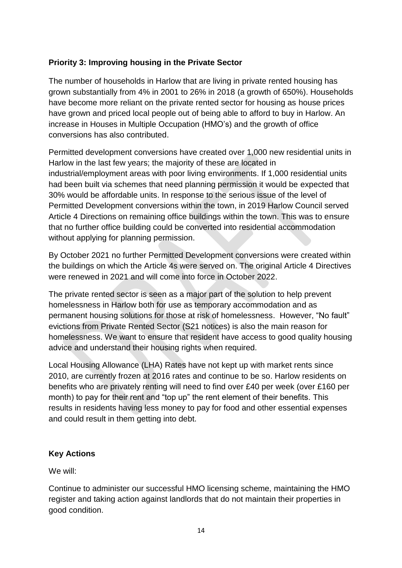# **Priority 3: Improving housing in the Private Sector**

The number of households in Harlow that are living in private rented housing has grown substantially from 4% in 2001 to 26% in 2018 (a growth of 650%). Households have become more reliant on the private rented sector for housing as house prices have grown and priced local people out of being able to afford to buy in Harlow. An increase in Houses in Multiple Occupation (HMO's) and the growth of office conversions has also contributed.

Permitted development conversions have created over 1,000 new residential units in Harlow in the last few years; the majority of these are located in industrial/employment areas with poor living environments. If 1,000 residential units had been built via schemes that need planning permission it would be expected that 30% would be affordable units. In response to the serious issue of the level of Permitted Development conversions within the town, in 2019 Harlow Council served Article 4 Directions on remaining office buildings within the town. This was to ensure that no further office building could be converted into residential accommodation without applying for planning permission.

By October 2021 no further Permitted Development conversions were created within the buildings on which the Article 4s were served on. The original Article 4 Directives were renewed in 2021 and will come into force in October 2022.

The private rented sector is seen as a major part of the solution to help prevent homelessness in Harlow both for use as temporary accommodation and as permanent housing solutions for those at risk of homelessness. However, "No fault" evictions from Private Rented Sector (S21 notices) is also the main reason for homelessness. We want to ensure that resident have access to good quality housing advice and understand their housing rights when required.

Local Housing Allowance (LHA) Rates have not kept up with market rents since 2010, are currently frozen at 2016 rates and continue to be so. Harlow residents on benefits who are privately renting will need to find over £40 per week (over £160 per month) to pay for their rent and "top up" the rent element of their benefits. This results in residents having less money to pay for food and other essential expenses and could result in them getting into debt.

#### **Key Actions**

We will:

Continue to administer our successful HMO licensing scheme, maintaining the HMO register and taking action against landlords that do not maintain their properties in good condition.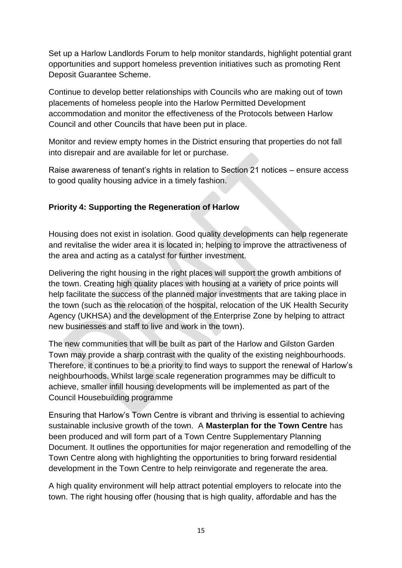Set up a Harlow Landlords Forum to help monitor standards, highlight potential grant opportunities and support homeless prevention initiatives such as promoting Rent Deposit Guarantee Scheme.

Continue to develop better relationships with Councils who are making out of town placements of homeless people into the Harlow Permitted Development accommodation and monitor the effectiveness of the Protocols between Harlow Council and other Councils that have been put in place.

Monitor and review empty homes in the District ensuring that properties do not fall into disrepair and are available for let or purchase.

Raise awareness of tenant's rights in relation to Section 21 notices – ensure access to good quality housing advice in a timely fashion.

# **Priority 4: Supporting the Regeneration of Harlow**

Housing does not exist in isolation. Good quality developments can help regenerate and revitalise the wider area it is located in; helping to improve the attractiveness of the area and acting as a catalyst for further investment.

Delivering the right housing in the right places will support the growth ambitions of the town. Creating high quality places with housing at a variety of price points will help facilitate the success of the planned major investments that are taking place in the town (such as the relocation of the hospital, relocation of the UK Health Security Agency (UKHSA) and the development of the Enterprise Zone by helping to attract new businesses and staff to live and work in the town).

The new communities that will be built as part of the Harlow and Gilston Garden Town may provide a sharp contrast with the quality of the existing neighbourhoods. Therefore, it continues to be a priority to find ways to support the renewal of Harlow's neighbourhoods. Whilst large scale regeneration programmes may be difficult to achieve, smaller infill housing developments will be implemented as part of the Council Housebuilding programme

Ensuring that Harlow's Town Centre is vibrant and thriving is essential to achieving sustainable inclusive growth of the town. A **Masterplan for the Town Centre** has been produced and will form part of a Town Centre Supplementary Planning Document. It outlines the opportunities for major regeneration and remodelling of the Town Centre along with highlighting the opportunities to bring forward residential development in the Town Centre to help reinvigorate and regenerate the area.

A high quality environment will help attract potential employers to relocate into the town. The right housing offer (housing that is high quality, affordable and has the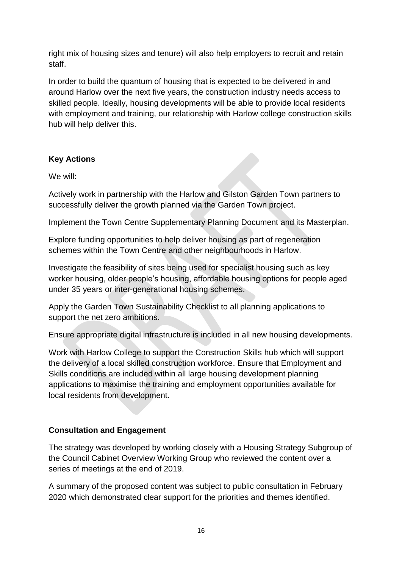right mix of housing sizes and tenure) will also help employers to recruit and retain staff.

In order to build the quantum of housing that is expected to be delivered in and around Harlow over the next five years, the construction industry needs access to skilled people. Ideally, housing developments will be able to provide local residents with employment and training, our relationship with Harlow college construction skills hub will help deliver this.

# **Key Actions**

We will:

Actively work in partnership with the Harlow and Gilston Garden Town partners to successfully deliver the growth planned via the Garden Town project.

Implement the Town Centre Supplementary Planning Document and its Masterplan.

Explore funding opportunities to help deliver housing as part of regeneration schemes within the Town Centre and other neighbourhoods in Harlow.

Investigate the feasibility of sites being used for specialist housing such as key worker housing, older people's housing, affordable housing options for people aged under 35 years or inter-generational housing schemes.

Apply the Garden Town Sustainability Checklist to all planning applications to support the net zero ambitions.

Ensure appropriate digital infrastructure is included in all new housing developments.

Work with Harlow College to support the Construction Skills hub which will support the delivery of a local skilled construction workforce. Ensure that Employment and Skills conditions are included within all large housing development planning applications to maximise the training and employment opportunities available for local residents from development.

# **Consultation and Engagement**

The strategy was developed by working closely with a Housing Strategy Subgroup of the Council Cabinet Overview Working Group who reviewed the content over a series of meetings at the end of 2019.

A summary of the proposed content was subject to public consultation in February 2020 which demonstrated clear support for the priorities and themes identified.